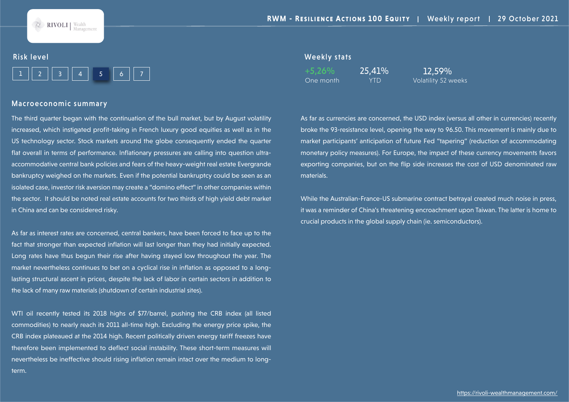

#### Risk level

|--|--|--|

#### Macroeconomic summary

The third quarter began with the continuation of the bull market, but by August volatility increased, which instigated profit-taking in French luxury good equities as well as in the US technology sector. Stock markets around the globe consequently ended the quarter flat overall in terms of performance. Inflationary pressures are calling into question ultraaccommodative central bank policies and fears of the heavy-weight real estate Evergrande bankruptcy weighed on the markets. Even if the potential bankruptcy could be seen as an isolated case, investor risk aversion may create a "domino effect" in other companies within the sector. It should be noted real estate accounts for two thirds of high yield debt market in China and can be considered risky.

As far as interest rates are concerned, central bankers, have been forced to face up to the fact that stronger than expected inflation will last longer than they had initially expected. Long rates have thus begun their rise after having stayed low throughout the year. The market nevertheless continues to bet on a cyclical rise in inflation as opposed to a longlasting structural ascent in prices, despite the lack of labor in certain sectors in addition to the lack of many raw materials (shutdown of certain industrial sites).

WTI oil recently tested its 2018 highs of \$77/barrel, pushing the CRB index (all listed commodities) to nearly reach its 2011 all-time high. Excluding the energy price spike, the CRB index plateaued at the 2014 high. Recent politically driven energy tariff freezes have therefore been implemented to deflect social instability. These short-term measures will nevertheless be ineffective should rising inflation remain intact over the medium to longterm.

#### Weekly stats

+5,26% 25,41% 12,59%

One month YTD Volatility 52 weeks

As far as currencies are concerned, the USD index (versus all other in currencies) recently broke the 93-resistance level, opening the way to 96.50. This movement is mainly due to market participants' anticipation of future Fed "tapering" (reduction of accommodating monetary policy measures). For Europe, the impact of these currency movements favors exporting companies, but on the flip side increases the cost of USD denominated raw materials.

While the Australian-France-US submarine contract betrayal created much noise in press, it was a reminder of China's threatening encroachment upon Taiwan. The latter is home to crucial products in the global supply chain (ie. semiconductors).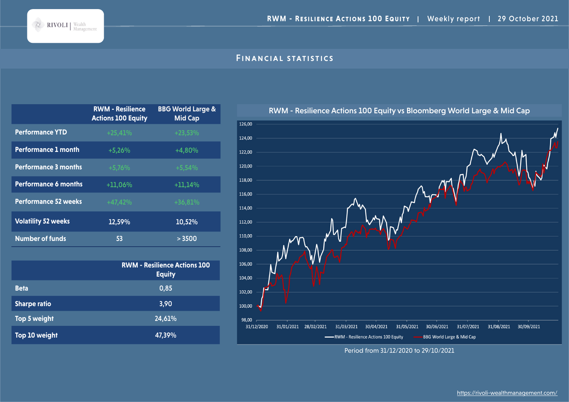## Financial statistics

|                             | <b>RWM - Resilience</b><br><b>Actions 100 Equity</b> | <b>BBG World Large &amp;</b><br><b>Mid Cap</b> |
|-----------------------------|------------------------------------------------------|------------------------------------------------|
| <b>Performance YTD</b>      | $+25,41%$                                            | $+23,53%$                                      |
| <b>Performance 1 month</b>  | $+5,26%$                                             | +4,80%                                         |
| <b>Performance 3 months</b> | $+5,76%$                                             | $+5,54%$                                       |
| <b>Performance 6 months</b> | $+11,06%$                                            | $+11,14%$                                      |
| <b>Performance 52 weeks</b> | $+47,42%$                                            | $+36,81%$                                      |
| <b>Volatility 52 weeks</b>  | 12,59%                                               | 10,52%                                         |
| <b>Number of funds</b>      | 53                                                   | > 3500                                         |

|                     | <b>RWM - Resilience Actions 100</b><br><b>Equity</b> |
|---------------------|------------------------------------------------------|
| <b>Beta</b>         | 0,85                                                 |
| <b>Sharpe ratio</b> | 3,90                                                 |
| Top 5 weight        | 24,61%                                               |
| Top 10 weight       | 47,39%                                               |



Period from 31/12/2020 to 29/10/2021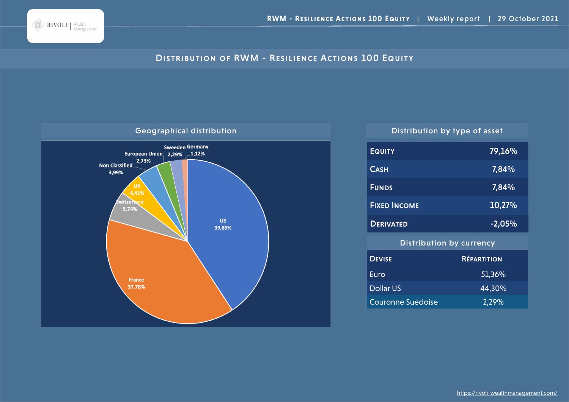

# DISTRIBUTION OF RWM - RESILIENCE ACTIONS 100 EQUITY



| <b>EQUITY</b>                   | 79,16%             |  |
|---------------------------------|--------------------|--|
| <b>CASH</b>                     | 7,84%              |  |
| <b>FUNDS</b>                    | <u>7,</u> 84%      |  |
| <b>FIXED INCOME</b>             | 10,27%             |  |
| <b>DERIVATED</b>                | $-2,05%$           |  |
| <b>Distribution by currency</b> |                    |  |
| <b>DEVISE</b>                   | <b>RÉPARTITION</b> |  |
| Euro                            | 51,36%             |  |
| <b>Dollar US</b>                | 44,30%             |  |
| Couronne Suédoise               | 2,29%              |  |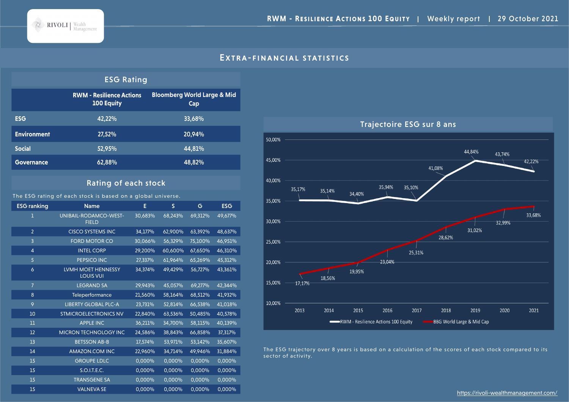

#### EXTRA-FINANCIAL STATISTICS

#### ESG Rating

|                    | <b>RWM - Resilience Actions</b><br><b>100 Equity</b> | <b>Bloomberg World Large &amp; Mid</b><br>Cap |
|--------------------|------------------------------------------------------|-----------------------------------------------|
| <b>ESG</b>         | 42.22%                                               | 33,68%                                        |
| <b>Environment</b> | 27,52%                                               | 20,94%                                        |
| <b>Social</b>      | 52,95%                                               | 44.81%                                        |
| <b>Governance</b>  | 62,88%                                               | 48,82%                                        |

## Rating of each stock

The ESG rating of each stock is based on a global universe.

ESG ranking Mame Name E S G ESG UNIBAIL-RODAMCO-WEST-FIELD 30,683% 68,243% 69,312% 49,677% CISCO SYSTEMS INC 34,177% 62,900% 63,392% 48,637% FORD MOTOR CO 30,066% 56,329% 75,100% 46,951% INTEL CORP 29,200% 60,600% 67,650% 46,310% PEPSICO INC 27,337% 61,964% 65,269% 45,312% LVMH MOET HENNESSY LOUIS VUI 34,374% 49,429% 56,727% 43,361% LEGRAND SA 29,943% 45,057% 69,277% 42,344% Teleperformance 21,560% 58,164% 68,512% 41,932% LIBERTY GLOBAL PLC-A 23,731% 52,814% 66,538% 41,018% STMICROELECTRONICS NV 22,840% 63,536% 50,485% 40,578% APPLE INC 36,211% 34,700% 58,115% 40,139% MICRON TECHNOLOGY INC 24,586% 38,843% 66,858% 37,317% BETSSON AB-B 17,574% 53,971% 53,142% 35,607% AMAZON.COM INC 22,960% 34,714% 49,946% 31,884% GROUPE LDLC 0,000% 0,000% 0,000% 0,000% S.O.I.T.E.C. 0,000% 0,000% 0,000% 0,000% TRANSGENE SA 0,000% 0,000% 0,000% 0,000% VALNEVA SE 0,000% 0,000% 0,000% 0,000%



The ESG trajectory over 8 years is based on a calculation of the scores of each stock compared to its sector of activity.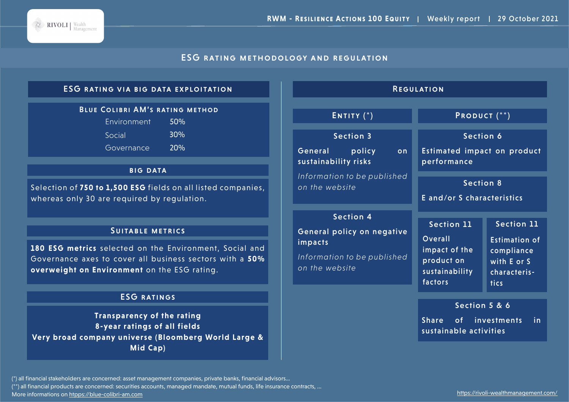

## ESG rating methodology and regulation

## ESG rating via big data exploitation

## Blue Colibri AM's rating method

| Environment | 50% |
|-------------|-----|
| Social      | 30% |
| Governance  | 20% |

#### **BIG DATA**

Selection of **750 to 1,500 ESG** fields on all listed companies, whereas only 30 are required by regulation.

#### Suitable metrics

**180 ESG metrics** selected on the Environment, Social and Governance axes to cover all business sectors with a **50% overweight on Environment** on the ESG rating.

## ESG ratings

**Transparency of the rating 8-year ratings of all fields Very broad company universe (Bloomberg World Large & Mid Cap)**

| <b>REGULATION</b>                                                                                          |                                                                                          |                                                                                                       |
|------------------------------------------------------------------------------------------------------------|------------------------------------------------------------------------------------------|-------------------------------------------------------------------------------------------------------|
| ENTITY $(*)$                                                                                               | PRODUCT <sup>(**)</sup>                                                                  |                                                                                                       |
| <b>Section 3</b><br>General<br>policy<br>on<br>sustainability risks                                        | Section 6<br><b>Estimated impact on product</b><br>performance                           |                                                                                                       |
| Information to be published<br>on the website                                                              | <b>Section 8</b><br>E and/or S characteristics                                           |                                                                                                       |
| <b>Section 4</b><br>General policy on negative<br>impacts<br>Information to be published<br>on the website | <b>Section 11</b><br>Overall<br>impact of the<br>product on<br>sustainability<br>factors | <b>Section 11</b><br><b>Estimation of</b><br>compliance<br>with E or S<br>characteris-<br><b>tics</b> |
|                                                                                                            | Section 5 & 6<br>Share of investments<br>sustainable activities                          | in.                                                                                                   |

(\*) all financial stakeholders are concerned: asset management companies, private banks, financial advisors...

(\*\*) all financial products are concerned: securities accounts, managed mandate, mutual funds, life insurance contracts, ...

More informations on htpps://blue-colibri-am.com